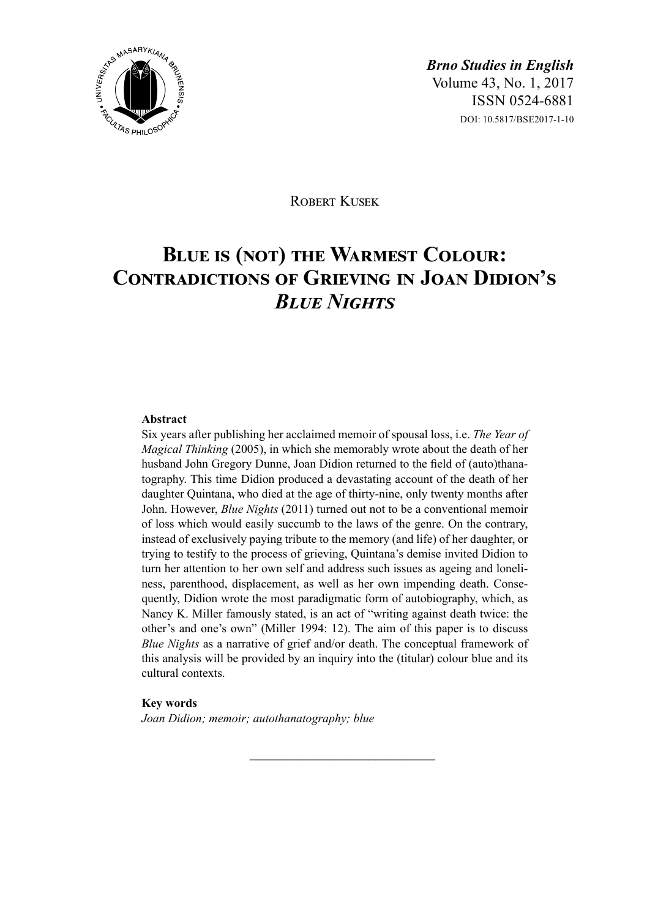

ROBERT KUSEK

# **Blue is (not) the Warmest Colour: Contradictions of Grieving in Joan Didion's**  *Blue Nights*

#### **Abstract**

Six years after publishing her acclaimed memoir of spousal loss, i.e. *The Year of Magical Thinking* (2005), in which she memorably wrote about the death of her husband John Gregory Dunne, Joan Didion returned to the field of (auto)thanatography. This time Didion produced a devastating account of the death of her daughter Quintana, who died at the age of thirty-nine, only twenty months after John. However, *Blue Nights* (2011) turned out not to be a conventional memoir of loss which would easily succumb to the laws of the genre. On the contrary, instead of exclusively paying tribute to the memory (and life) of her daughter, or trying to testify to the process of grieving, Quintana's demise invited Didion to turn her attention to her own self and address such issues as ageing and loneliness, parenthood, displacement, as well as her own impending death. Consequently, Didion wrote the most paradigmatic form of autobiography, which, as Nancy K. Miller famously stated, is an act of "writing against death twice: the other's and one's own" (Miller 1994: 12). The aim of this paper is to discuss *Blue Nights* as a narrative of grief and/or death. The conceptual framework of this analysis will be provided by an inquiry into the (titular) colour blue and its cultural contexts.

 $\overline{\phantom{a}}$  , where  $\overline{\phantom{a}}$  , where  $\overline{\phantom{a}}$  , where  $\overline{\phantom{a}}$ 

#### **Key words**

*Joan Didion; memoir; autothanatography; blue*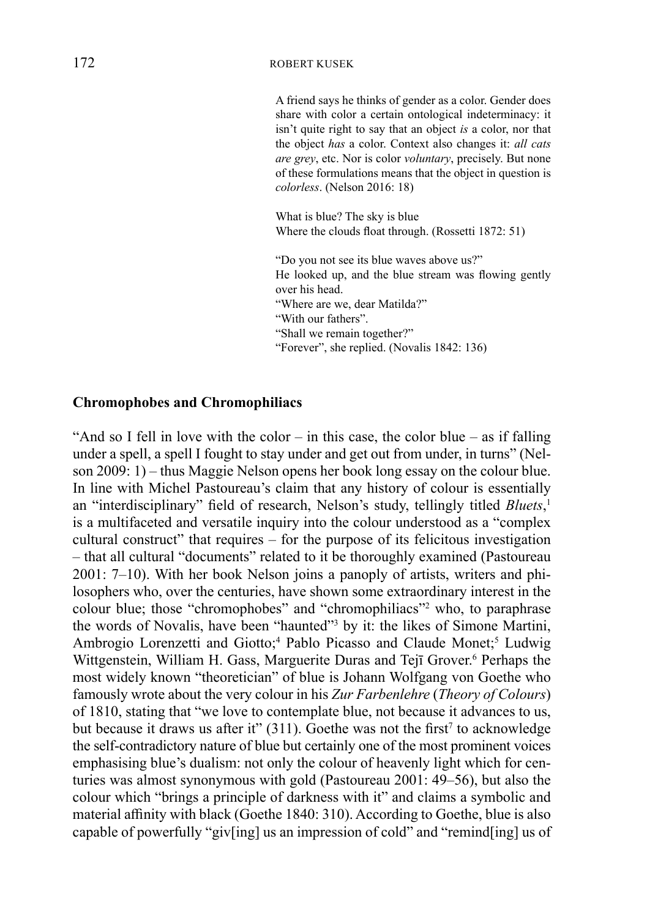#### 172 ROBERT KUSEK

A friend says he thinks of gender as a color. Gender does share with color a certain ontological indeterminacy: it isn't quite right to say that an object *is* a color, nor that the object *has* a color. Context also changes it: *all cats are grey*, etc. Nor is color *voluntary*, precisely. But none of these formulations means that the object in question is *colorless*. (Nelson 2016: 18)

What is blue? The sky is blue Where the clouds float through. (Rossetti 1872: 51)

"Do you not see its blue waves above us?" He looked up, and the blue stream was flowing gently over his head. "Where are we, dear Matilda?" "With our fathers". "Shall we remain together?" "Forever", she replied. (Novalis 1842: 136)

## **Chromophobes and Chromophiliacs**

"And so I fell in love with the color – in this case, the color blue – as if falling under a spell, a spell I fought to stay under and get out from under, in turns" (Nelson 2009: 1) – thus Maggie Nelson opens her book long essay on the colour blue. In line with Michel Pastoureau's claim that any history of colour is essentially an "interdisciplinary" field of research, Nelson's study, tellingly titled *Bluets*, 1 is a multifaceted and versatile inquiry into the colour understood as a "complex cultural construct" that requires  $-\overline{}$  for the purpose of its felicitous investigation – that all cultural "documents" related to it be thoroughly examined (Pastoureau 2001: 7–10). With her book Nelson joins a panoply of artists, writers and philosophers who, over the centuries, have shown some extraordinary interest in the colour blue; those "chromophobes" and "chromophiliacs"<sup>2</sup> who, to paraphrase the words of Novalis, have been "haunted"<sup>3</sup> by it: the likes of Simone Martini, Ambrogio Lorenzetti and Giotto;<sup>4</sup> Pablo Picasso and Claude Monet;<sup>5</sup> Ludwig Wittgenstein, William H. Gass, Marguerite Duras and Tejī Grover.<sup>6</sup> Perhaps the most widely known "theoretician" of blue is Johann Wolfgang von Goethe who famously wrote about the very colour in his *Zur Farbenlehre* (*Theory of Colours*) of 1810, stating that "we love to contemplate blue, not because it advances to us, but because it draws us after it"  $(311)$ . Goethe was not the first<sup>7</sup> to acknowledge the self-contradictory nature of blue but certainly one of the most prominent voices emphasising blue's dualism: not only the colour of heavenly light which for centuries was almost synonymous with gold (Pastoureau 2001: 49–56), but also the colour which "brings a principle of darkness with it" and claims a symbolic and material affinity with black (Goethe 1840: 310). According to Goethe, blue is also capable of powerfully "giv[ing] us an impression of cold" and "remind[ing] us of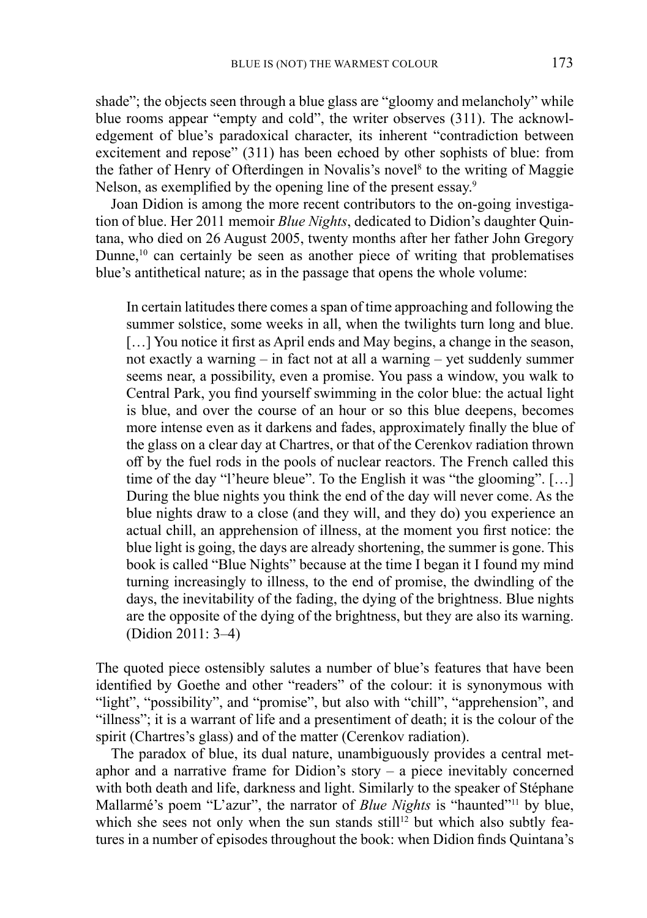shade"; the objects seen through a blue glass are "gloomy and melancholy" while blue rooms appear "empty and cold", the writer observes (311). The acknowledgement of blue's paradoxical character, its inherent "contradiction between excitement and repose" (311) has been echoed by other sophists of blue: from the father of Henry of Ofterdingen in Novalis's novel<sup>8</sup> to the writing of Maggie Nelson, as exemplified by the opening line of the present essay.<sup>9</sup>

Joan Didion is among the more recent contributors to the on-going investigation of blue. Her 2011 memoir *Blue Nights*, dedicated to Didion's daughter Quintana, who died on 26 August 2005, twenty months after her father John Gregory Dunne, $10$  can certainly be seen as another piece of writing that problematises blue's antithetical nature; as in the passage that opens the whole volume:

In certain latitudes there comes a span of time approaching and following the summer solstice, some weeks in all, when the twilights turn long and blue. [...] You notice it first as April ends and May begins, a change in the season, not exactly a warning – in fact not at all a warning – yet suddenly summer seems near, a possibility, even a promise. You pass a window, you walk to Central Park, you find yourself swimming in the color blue: the actual light is blue, and over the course of an hour or so this blue deepens, becomes more intense even as it darkens and fades, approximately finally the blue of the glass on a clear day at Chartres, or that of the Cerenkov radiation thrown off by the fuel rods in the pools of nuclear reactors. The French called this time of the day "l'heure bleue". To the English it was "the glooming". [...] During the blue nights you think the end of the day will never come. As the blue nights draw to a close (and they will, and they do) you experience an actual chill, an apprehension of illness, at the moment you first notice: the blue light is going, the days are already shortening, the summer is gone. This book is called "Blue Nights" because at the time I began it I found my mind turning increasingly to illness, to the end of promise, the dwindling of the days, the inevitability of the fading, the dying of the brightness. Blue nights are the opposite of the dying of the brightness, but they are also its warning. (Didion 2011: 3–4)

The quoted piece ostensibly salutes a number of blue's features that have been identified by Goethe and other "readers" of the colour: it is synonymous with "light", "possibility", and "promise", but also with "chill", "apprehension", and "illness"; it is a warrant of life and a presentiment of death; it is the colour of the spirit (Chartres's glass) and of the matter (Cerenkov radiation).

The paradox of blue, its dual nature, unambiguously provides a central metaphor and a narrative frame for Didion's story  $-$  a piece inevitably concerned with both death and life, darkness and light. Similarly to the speaker of Stéphane Mallarmé's poem "L'azur", the narrator of *Blue Nights* is "haunted"11 by blue, which she sees not only when the sun stands still<sup>12</sup> but which also subtly features in a number of episodes throughout the book: when Didion finds Quintana's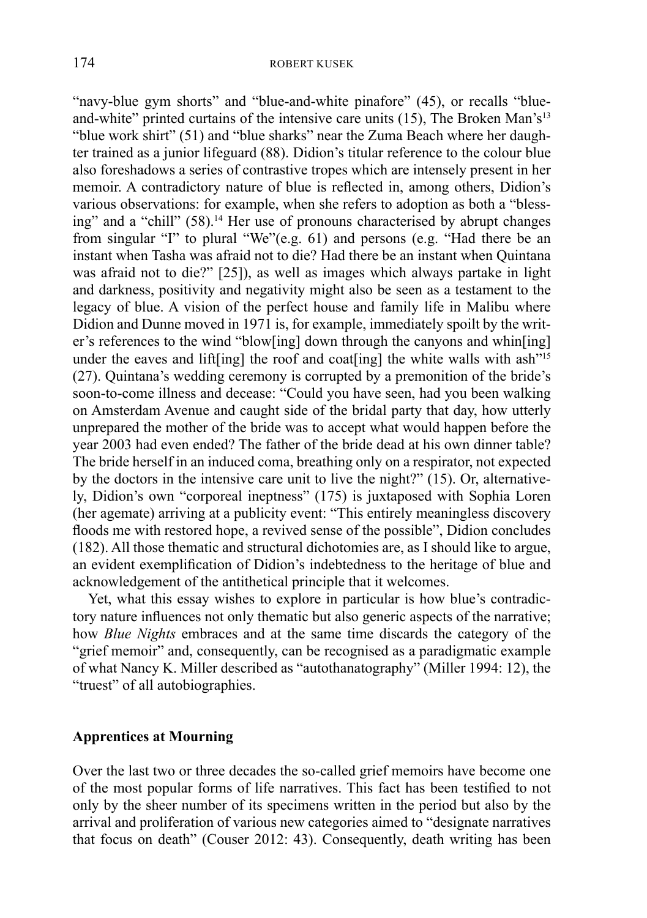"navy-blue gym shorts" and "blue-and-white pinafore" (45), or recalls "blueand-white" printed curtains of the intensive care units  $(15)$ , The Broken Man's<sup>13</sup> "blue work shirt" (51) and "blue sharks" near the Zuma Beach where her daughter trained as a junior lifeguard (88). Didion's titular reference to the colour blue also foreshadows a series of contrastive tropes which are intensely present in her memoir. A contradictory nature of blue is reflected in, among others, Didion's various observations: for example, when she refers to adoption as both a "blessing" and a "chill" (58).<sup>14</sup> Her use of pronouns characterised by abrupt changes from singular "I" to plural "We"(e.g. 61) and persons (e.g. "Had there be an instant when Tasha was afraid not to die? Had there be an instant when Quintana was afraid not to die?" [25]), as well as images which always partake in light and darkness, positivity and negativity might also be seen as a testament to the legacy of blue. A vision of the perfect house and family life in Malibu where Didion and Dunne moved in 1971 is, for example, immediately spoilt by the writer's references to the wind "blow[ing] down through the canyons and whin[ing] under the eaves and lift[ing] the roof and coat[ing] the white walls with ash<sup>"15</sup> (27). Quintana's wedding ceremony is corrupted by a premonition of the bride's soon-to-come illness and decease: "Could you have seen, had you been walking on Amsterdam Avenue and caught side of the bridal party that day, how utterly unprepared the mother of the bride was to accept what would happen before the year 2003 had even ended? The father of the bride dead at his own dinner table? The bride herself in an induced coma, breathing only on a respirator, not expected by the doctors in the intensive care unit to live the night?"  $(15)$ . Or, alternatively, Didion's own "corporeal ineptness" (175) is juxtaposed with Sophia Loren (her agemate) arriving at a publicity event: "This entirely meaningless discovery floods me with restored hope, a revived sense of the possible", Didion concludes (182). All those thematic and structural dichotomies are, as I should like to argue, an evident exemplification of Didion's indebtedness to the heritage of blue and acknowledgement of the antithetical principle that it welcomes.

Yet, what this essay wishes to explore in particular is how blue's contradictory nature influences not only thematic but also generic aspects of the narrative; how *Blue Nights* embraces and at the same time discards the category of the "grief memoir" and, consequently, can be recognised as a paradigmatic example of what Nancy K. Miller described as "autothanatography" (Miller 1994: 12), the "truest" of all autobiographies.

### **Apprentices at Mourning**

Over the last two or three decades the so-called grief memoirs have become one of the most popular forms of life narratives. This fact has been testified to not only by the sheer number of its specimens written in the period but also by the arrival and proliferation of various new categories aimed to "designate narratives that focus on death" (Couser 2012: 43). Consequently, death writing has been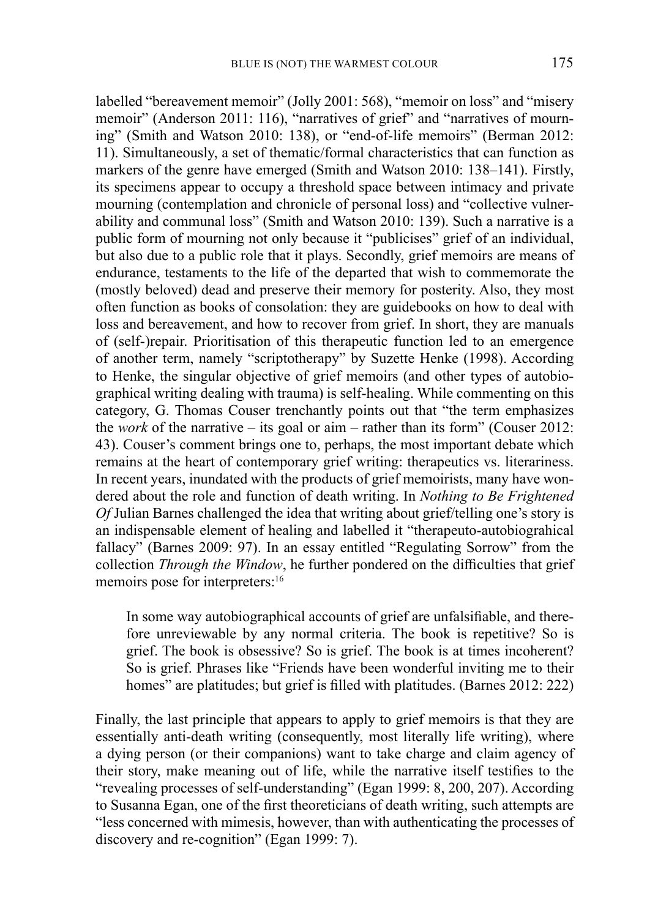labelled "bereavement memoir" (Jolly 2001: 568), "memoir on loss" and "misery memoir" (Anderson 2011: 116), "narratives of grief" and "narratives of mourning" (Smith and Watson 2010: 138), or "end-of-life memoirs" (Berman 2012: 11). Simultaneously, a set of thematic/formal characteristics that can function as markers of the genre have emerged (Smith and Watson 2010: 138–141). Firstly, its specimens appear to occupy a threshold space between intimacy and private mourning (contemplation and chronicle of personal loss) and "collective vulnerability and communal loss" (Smith and Watson 2010: 139). Such a narrative is a public form of mourning not only because it "publicises" grief of an individual, but also due to a public role that it plays. Secondly, grief memoirs are means of endurance, testaments to the life of the departed that wish to commemorate the (mostly beloved) dead and preserve their memory for posterity. Also, they most often function as books of consolation: they are guidebooks on how to deal with loss and bereavement, and how to recover from grief. In short, they are manuals of (self-)repair. Prioritisation of this therapeutic function led to an emergence of another term, namely "scriptotherapy" by Suzette Henke (1998). According to Henke, the singular objective of grief memoirs (and other types of autobiographical writing dealing with trauma) is self-healing. While commenting on this category, G. Thomas Couser trenchantly points out that "the term emphasizes the *work* of the narrative – its goal or aim – rather than its form" (Couser 2012: 43). Couser's comment brings one to, perhaps, the most important debate which remains at the heart of contemporary grief writing: therapeutics vs. literariness. In recent years, inundated with the products of grief memoirists, many have wondered about the role and function of death writing. In *Nothing to Be Frightened Of* Julian Barnes challenged the idea that writing about grief/telling one's story is an indispensable element of healing and labelled it "therapeuto-autobiograhical fallacy" (Barnes 2009: 97). In an essay entitled "Regulating Sorrow" from the collection *Through the Window*, he further pondered on the difficulties that grief memoirs pose for interpreters:<sup>16</sup>

In some way autobiographical accounts of grief are unfalsifiable, and therefore unreviewable by any normal criteria. The book is repetitive? So is grief. The book is obsessive? So is grief. The book is at times incoherent? So is grief. Phrases like "Friends have been wonderful inviting me to their homes" are platitudes; but grief is filled with platitudes. (Barnes 2012: 222)

Finally, the last principle that appears to apply to grief memoirs is that they are essentially anti-death writing (consequently, most literally life writing), where a dying person (or their companions) want to take charge and claim agency of their story, make meaning out of life, while the narrative itself testifies to the "revealing processes of self-understanding" (Egan 1999: 8, 200, 207). According to Susanna Egan, one of the first theoreticians of death writing, such attempts are "less concerned with mimesis, however, than with authenticating the processes of discovery and re-cognition" (Egan 1999: 7).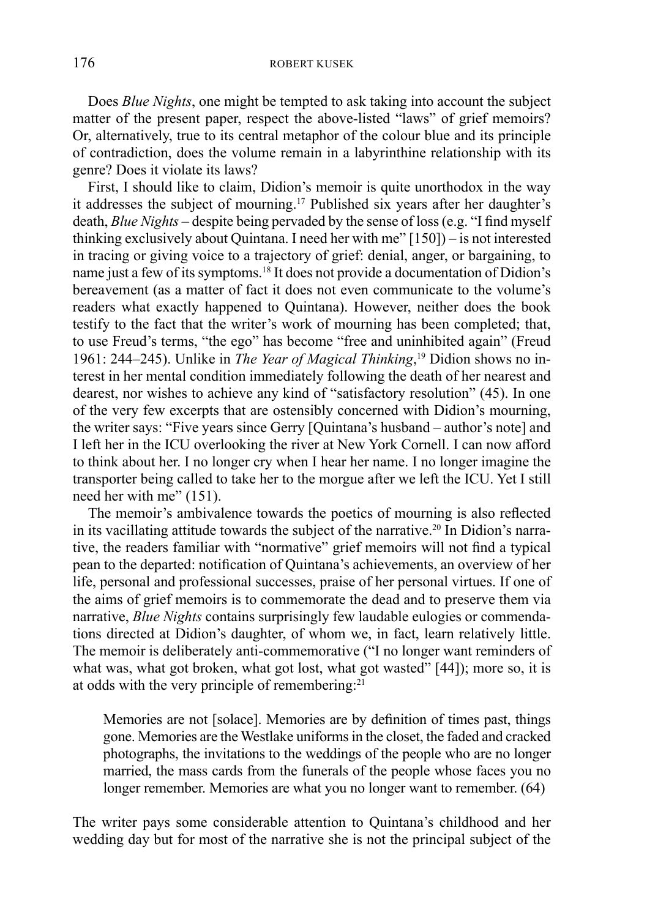Does *Blue Nights*, one might be tempted to ask taking into account the subject matter of the present paper, respect the above-listed "laws" of grief memoirs? Or, alternatively, true to its central metaphor of the colour blue and its principle of contradiction, does the volume remain in a labyrinthine relationship with its genre? Does it violate its laws?

First, I should like to claim, Didion's memoir is quite unorthodox in the way it addresses the subject of mourning.17 Published six years after her daughter's death, *Blue Nights* – despite being pervaded by the sense of loss (e.g. "I find myself thinking exclusively about Quintana. I need her with me" [150]) – is not interested in tracing or giving voice to a trajectory of grief: denial, anger, or bargaining, to name just a few of its symptoms.18 It does not provide a documentation of Didion's bereavement (as a matter of fact it does not even communicate to the volume's readers what exactly happened to Quintana). However, neither does the book testify to the fact that the writer's work of mourning has been completed; that, to use Freud's terms, "the ego" has become "free and uninhibited again" (Freud 1961: 244–245). Unlike in *The Year of Magical Thinking*, 19 Didion shows no interest in her mental condition immediately following the death of her nearest and dearest, nor wishes to achieve any kind of "satisfactory resolution" (45). In one of the very few excerpts that are ostensibly concerned with Didion's mourning, the writer says: "Five years since Gerry [Quintana's husband – author's note] and I left her in the ICU overlooking the river at New York Cornell. I can now afford to think about her. I no longer cry when I hear her name. I no longer imagine the transporter being called to take her to the morgue after we left the ICU. Yet I still need her with me" (151).

The memoir's ambivalence towards the poetics of mourning is also reflected in its vacillating attitude towards the subject of the narrative.20 In Didion's narrative, the readers familiar with "normative" grief memoirs will not find a typical pean to the departed: notification of Quintana's achievements, an overview of her life, personal and professional successes, praise of her personal virtues. If one of the aims of grief memoirs is to commemorate the dead and to preserve them via narrative, *Blue Nights* contains surprisingly few laudable eulogies or commendations directed at Didion's daughter, of whom we, in fact, learn relatively little. The memoir is deliberately anti-commemorative ("I no longer want reminders of what was, what got broken, what got lost, what got wasted" [44]); more so, it is at odds with the very principle of remembering:<sup>21</sup>

Memories are not [solace]. Memories are by definition of times past, things gone. Memories are the Westlake uniforms in the closet, the faded and cracked photographs, the invitations to the weddings of the people who are no longer married, the mass cards from the funerals of the people whose faces you no longer remember. Memories are what you no longer want to remember. (64)

The writer pays some considerable attention to Quintana's childhood and her wedding day but for most of the narrative she is not the principal subject of the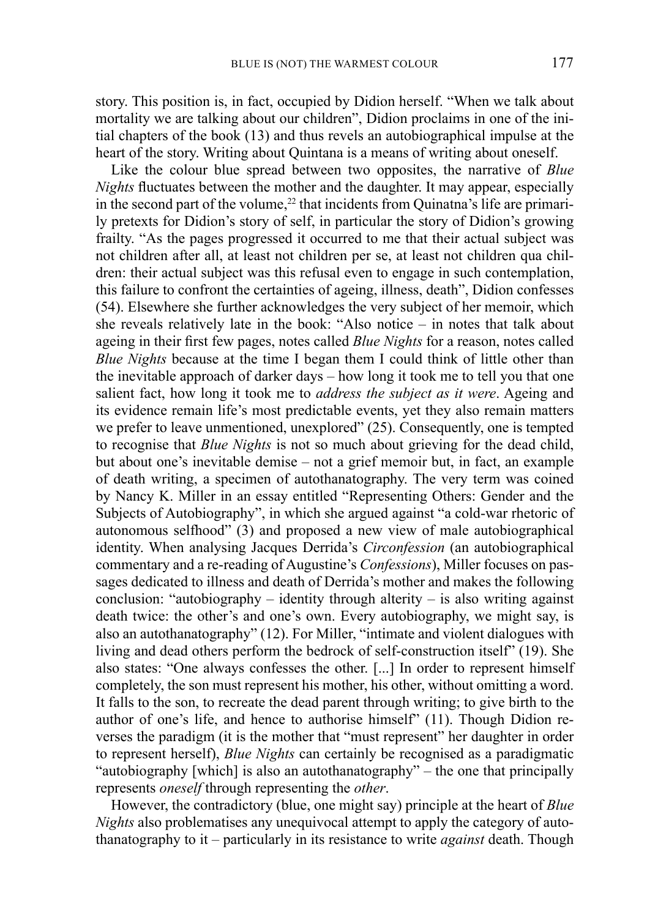story. This position is, in fact, occupied by Didion herself. "When we talk about mortality we are talking about our children", Didion proclaims in one of the initial chapters of the book (13) and thus revels an autobiographical impulse at the heart of the story. Writing about Quintana is a means of writing about oneself.

Like the colour blue spread between two opposites, the narrative of *Blue Nights* fluctuates between the mother and the daughter. It may appear, especially in the second part of the volume,<sup>22</sup> that incidents from Quinatna's life are primarily pretexts for Didion's story of self, in particular the story of Didion's growing frailty. "As the pages progressed it occurred to me that their actual subject was not children after all, at least not children per se, at least not children qua children: their actual subject was this refusal even to engage in such contemplation, this failure to confront the certainties of ageing, illness, death", Didion confesses (54). Elsewhere she further acknowledges the very subject of her memoir, which she reveals relatively late in the book: "Also notice – in notes that talk about ageing in their first few pages, notes called *Blue Nights* for a reason, notes called *Blue Nights* because at the time I began them I could think of little other than the inevitable approach of darker days – how long it took me to tell you that one salient fact, how long it took me to *address the subject as it were*. Ageing and its evidence remain life's most predictable events, yet they also remain matters we prefer to leave unmentioned, unexplored" (25). Consequently, one is tempted to recognise that *Blue Nights* is not so much about grieving for the dead child, but about one's inevitable demise – not a grief memoir but, in fact, an example of death writing, a specimen of autothanatography. The very term was coined by Nancy K. Miller in an essay entitled "Representing Others: Gender and the Subjects of Autobiography", in which she argued against "a cold-war rhetoric of autonomous selfhood" (3) and proposed a new view of male autobiographical identity. When analysing Jacques Derrida's *Circonfession* (an autobiographical commentary and a re-reading of Augustine's *Confessions*), Miller focuses on passages dedicated to illness and death of Derrida's mother and makes the following conclusion: "autobiography – identity through alterity – is also writing against death twice: the other's and one's own. Every autobiography, we might say, is also an autothanatography" (12). For Miller, "intimate and violent dialogues with living and dead others perform the bedrock of self-construction itself" (19). She also states: "One always confesses the other. [...] In order to represent himself completely, the son must represent his mother, his other, without omitting a word. It falls to the son, to recreate the dead parent through writing; to give birth to the author of one's life, and hence to authorise himself" (11). Though Didion reverses the paradigm (it is the mother that "must represent" her daughter in order to represent herself), *Blue Nights* can certainly be recognised as a paradigmatic "autobiography [which] is also an autothanatography" – the one that principally represents *oneself* through representing the *other*.

However, the contradictory (blue, one might say) principle at the heart of *Blue Nights* also problematises any unequivocal attempt to apply the category of autothanatography to it – particularly in its resistance to write *against* death. Though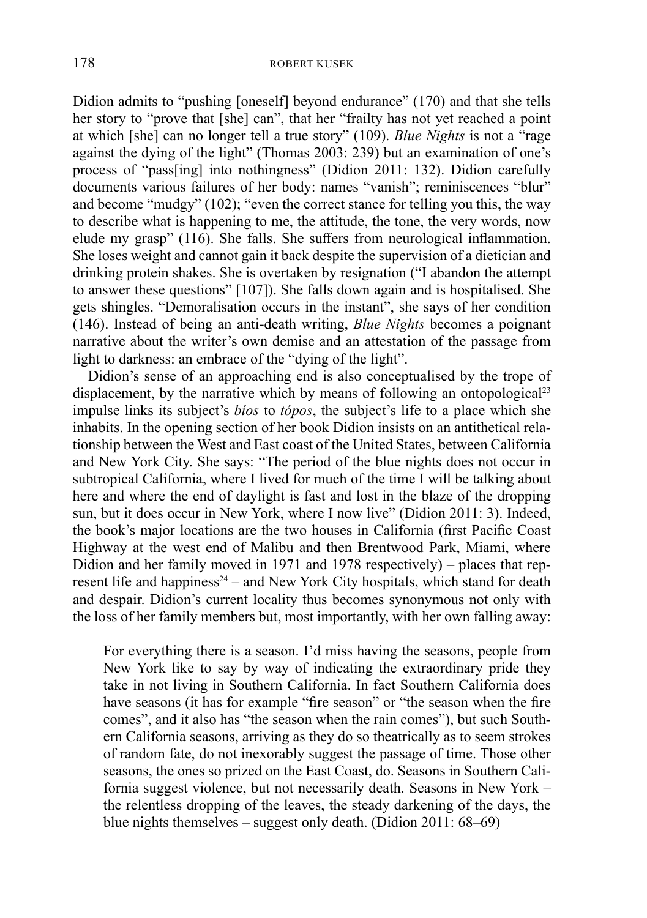Didion admits to "pushing [oneself] beyond endurance" (170) and that she tells her story to "prove that [she] can", that her "frailty has not yet reached a point at which [she] can no longer tell a true story" (109). *Blue Nights* is not a "rage against the dying of the light" (Thomas 2003: 239) but an examination of one's process of "pass[ing] into nothingness" (Didion 2011: 132). Didion carefully documents various failures of her body: names "vanish"; reminiscences "blur" and become "mudgy" (102); "even the correct stance for telling you this, the way to describe what is happening to me, the attitude, the tone, the very words, now elude my grasp" (116). She falls. She suffers from neurological inflammation. She loses weight and cannot gain it back despite the supervision of a dietician and drinking protein shakes. She is overtaken by resignation ("I abandon the attempt to answer these questions" [107]). She falls down again and is hospitalised. She gets shingles. "Demoralisation occurs in the instant", she says of her condition (146). Instead of being an anti-death writing, *Blue Nights* becomes a poignant narrative about the writer's own demise and an attestation of the passage from light to darkness: an embrace of the "dying of the light".

Didion's sense of an approaching end is also conceptualised by the trope of displacement, by the narrative which by means of following an ontopological<sup>23</sup> impulse links its subject's *bíos* to *tópos*, the subject's life to a place which she inhabits. In the opening section of her book Didion insists on an antithetical relationship between the West and East coast of the United States, between California and New York City. She says: "The period of the blue nights does not occur in subtropical California, where I lived for much of the time I will be talking about here and where the end of daylight is fast and lost in the blaze of the dropping sun, but it does occur in New York, where I now live" (Didion 2011: 3). Indeed, the book's major locations are the two houses in California (first Pacific Coast Highway at the west end of Malibu and then Brentwood Park, Miami, where Didion and her family moved in 1971 and 1978 respectively) – places that represent life and happiness $24$  – and New York City hospitals, which stand for death and despair. Didion's current locality thus becomes synonymous not only with the loss of her family members but, most importantly, with her own falling away:

For everything there is a season. I'd miss having the seasons, people from New York like to say by way of indicating the extraordinary pride they take in not living in Southern California. In fact Southern California does have seasons (it has for example "fire season" or "the season when the fire comes", and it also has "the season when the rain comes"), but such Southern California seasons, arriving as they do so theatrically as to seem strokes of random fate, do not inexorably suggest the passage of time. Those other seasons, the ones so prized on the East Coast, do. Seasons in Southern California suggest violence, but not necessarily death. Seasons in New York – the relentless dropping of the leaves, the steady darkening of the days, the blue nights themselves – suggest only death. (Didion 2011: 68–69)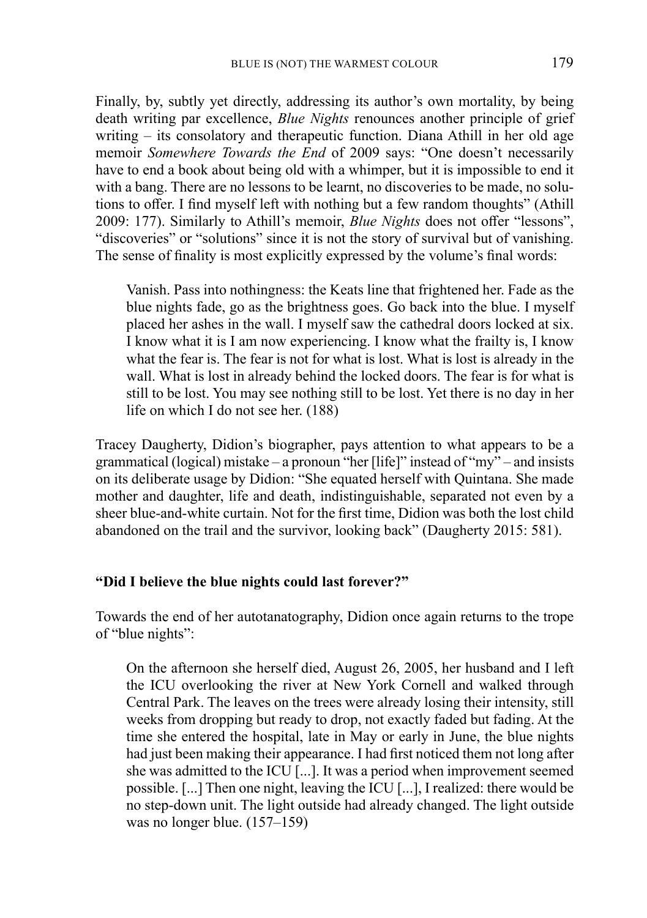Finally, by, subtly yet directly, addressing its author's own mortality, by being death writing par excellence, *Blue Nights* renounces another principle of grief writing – its consolatory and therapeutic function. Diana Athill in her old age memoir *Somewhere Towards the End* of 2009 says: "One doesn't necessarily have to end a book about being old with a whimper, but it is impossible to end it with a bang. There are no lessons to be learnt, no discoveries to be made, no solutions to offer. I find myself left with nothing but a few random thoughts" (Athill 2009: 177). Similarly to Athill's memoir, *Blue Nights* does not offer "lessons", "discoveries" or "solutions" since it is not the story of survival but of vanishing. The sense of finality is most explicitly expressed by the volume's final words:

Vanish. Pass into nothingness: the Keats line that frightened her. Fade as the blue nights fade, go as the brightness goes. Go back into the blue. I myself placed her ashes in the wall. I myself saw the cathedral doors locked at six. I know what it is I am now experiencing. I know what the frailty is, I know what the fear is. The fear is not for what is lost. What is lost is already in the wall. What is lost in already behind the locked doors. The fear is for what is still to be lost. You may see nothing still to be lost. Yet there is no day in her life on which I do not see her. (188)

Tracey Daugherty, Didion's biographer, pays attention to what appears to be a grammatical (logical) mistake – a pronoun "her [life]" instead of "my" – and insists on its deliberate usage by Didion: "She equated herself with Quintana. She made mother and daughter, life and death, indistinguishable, separated not even by a sheer blue-and-white curtain. Not for the first time, Didion was both the lost child abandoned on the trail and the survivor, looking back" (Daugherty 2015: 581).

### **"Did I believe the blue nights could last forever?"**

Towards the end of her autotanatography, Didion once again returns to the trope of "blue nights":

On the afternoon she herself died, August 26, 2005, her husband and I left the ICU overlooking the river at New York Cornell and walked through Central Park. The leaves on the trees were already losing their intensity, still weeks from dropping but ready to drop, not exactly faded but fading. At the time she entered the hospital, late in May or early in June, the blue nights had just been making their appearance. I had first noticed them not long after she was admitted to the ICU [...]. It was a period when improvement seemed possible. [...] Then one night, leaving the ICU [...], I realized: there would be no step-down unit. The light outside had already changed. The light outside was no longer blue. (157–159)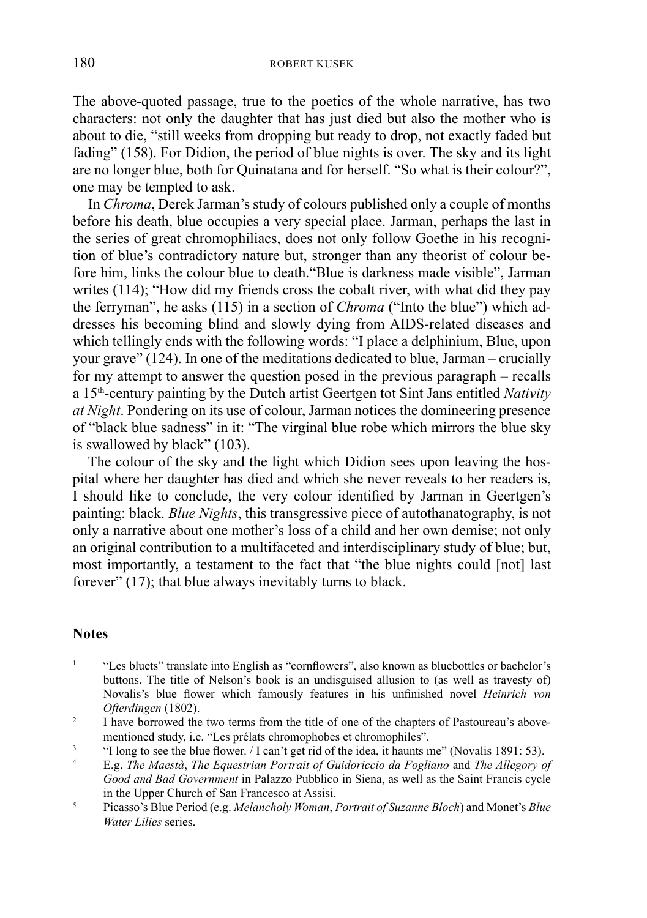The above-quoted passage, true to the poetics of the whole narrative, has two characters: not only the daughter that has just died but also the mother who is about to die, "still weeks from dropping but ready to drop, not exactly faded but fading" (158). For Didion, the period of blue nights is over. The sky and its light are no longer blue, both for Quinatana and for herself. "So what is their colour?", one may be tempted to ask.

In *Chroma*, Derek Jarman's study of colours published only a couple of months before his death, blue occupies a very special place. Jarman, perhaps the last in the series of great chromophiliacs, does not only follow Goethe in his recognition of blue's contradictory nature but, stronger than any theorist of colour before him, links the colour blue to death."Blue is darkness made visible", Jarman writes (114); "How did my friends cross the cobalt river, with what did they pay the ferryman", he asks (115) in a section of *Chroma* ("Into the blue") which addresses his becoming blind and slowly dying from AIDS-related diseases and which tellingly ends with the following words: "I place a delphinium, Blue, upon your grave" (124). In one of the meditations dedicated to blue, Jarman – crucially for my attempt to answer the question posed in the previous paragraph – recalls a 15th-century painting by the Dutch artist Geertgen tot Sint Jans entitled *Nativity at Night*. Pondering on its use of colour, Jarman notices the domineering presence of "black blue sadness" in it: "The virginal blue robe which mirrors the blue sky is swallowed by black" (103).

The colour of the sky and the light which Didion sees upon leaving the hospital where her daughter has died and which she never reveals to her readers is, I should like to conclude, the very colour identified by Jarman in Geertgen's painting: black. *Blue Nights*, this transgressive piece of autothanatography, is not only a narrative about one mother's loss of a child and her own demise; not only an original contribution to a multifaceted and interdisciplinary study of blue; but, most importantly, a testament to the fact that "the blue nights could [not] last forever"  $(17)$ ; that blue always inevitably turns to black.

## **Notes**

- <sup>1</sup> "Les bluets" translate into English as "cornflowers", also known as bluebottles or bachelor's buttons. The title of Nelson's book is an undisguised allusion to (as well as travesty of) Novalis's blue flower which famously features in his unfinished novel *Heinrich von Ofterdingen* (1802).
- <sup>2</sup> I have borrowed the two terms from the title of one of the chapters of Pastoureau's abovementioned study, i.e. "Les prélats chromophobes et chromophiles".
- <sup>3</sup> "I long to see the blue flower. / I can't get rid of the idea, it haunts me" (Novalis 1891: 53).
- 4 E.g. *The Maestà*, *The Equestrian Portrait of Guidoriccio da Fogliano* and *The Allegory of Good and Bad Government* in Palazzo Pubblico in Siena, as well as the Saint Francis cycle in the Upper Church of San Francesco at Assisi.
- <sup>5</sup>Picasso's Blue Period (e.g. *Melancholy Woman*, *Portrait of Suzanne Bloch*) and Monet's *Blue Water Lilies* series.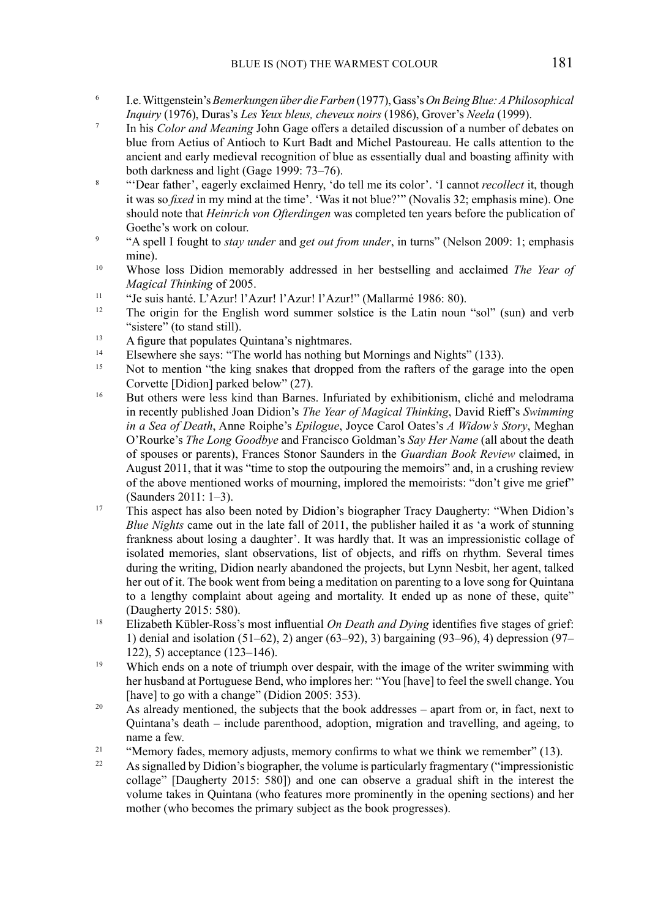- 6 I.e. Wittgenstein's *Bemerkungen über die Farben* (1977), Gass's *On Being Blue: A Philosophical Inquiry* (1976), Duras's *Les Yeux bleus, cheveux noirs* (1986), Grover's *Neela* (1999).
- 7 In his *Color and Meaning* John Gage offers a detailed discussion of a number of debates on blue from Aetius of Antioch to Kurt Badt and Michel Pastoureau. He calls attention to the ancient and early medieval recognition of blue as essentially dual and boasting affinity with both darkness and light (Gage 1999: 73–76).
- <sup>8</sup>"'Dear father', eagerly exclaimed Henry, 'do tell me its color'. 'I cannot *recollect* it, though it was so *fixed* in my mind at the time'. 'Was it not blue?'" (Novalis 32; emphasis mine). One should note that *Heinrich von Ofterdingen* was completed ten years before the publication of Goethe's work on colour.
- 9 "A spell I fought to *stay under* and *get out from under*, in turns" (Nelson 2009: 1; emphasis mine).
- 10 Whose loss Didion memorably addressed in her bestselling and acclaimed *The Year of Magical Thinking* of 2005.
- <sup>11</sup> "Je suis hanté. L'Azur! l'Azur! l'Azur! l'Azur! l'Azur! (Mallarmé 1986: 80).<br><sup>12</sup> The origin for the English word summer solstice is the Latin noun
- The origin for the English word summer solstice is the Latin noun "sol" (sun) and verb "sistere" (to stand still).
- <sup>13</sup> A figure that populates Quintana's nightmares.
- <sup>14</sup>Elsewhere she says: "The world has nothing but Mornings and Nights" (133).<br>Not to mention "the king angles that dropped from the ratters of the garage
- Not to mention "the king snakes that dropped from the rafters of the garage into the open Corvette [Didion] parked below" (27).
- <sup>16</sup> But others were less kind than Barnes. Infuriated by exhibitionism, cliché and melodrama in recently published Joan Didion's *The Year of Magical Thinking*, David Rieff's *Swimming in a Sea of Death*, Anne Roiphe's *Epilogue*, Joyce Carol Oates's *A Widow's Story*, Meghan O'Rourke's *The Long Goodbye* and Francisco Goldman's *Say Her Name* (all about the death of spouses or parents), Frances Stonor Saunders in the *Guardian Book Review* claimed, in August 2011, that it was "time to stop the outpouring the memoirs" and, in a crushing review of the above mentioned works of mourning, implored the memoirists: "don't give me grief" (Saunders 2011: 1–3).
- <sup>17</sup> This aspect has also been noted by Didion's biographer Tracy Daugherty: "When Didion's *Blue Nights* came out in the late fall of 2011, the publisher hailed it as 'a work of stunning frankness about losing a daughter'. It was hardly that. It was an impressionistic collage of isolated memories, slant observations, list of objects, and riffs on rhythm. Several times during the writing, Didion nearly abandoned the projects, but Lynn Nesbit, her agent, talked her out of it. The book went from being a meditation on parenting to a love song for Quintana to a lengthy complaint about ageing and mortality. It ended up as none of these, quite" (Daugherty 2015: 580).
- $\overline{B}$  Elizabeth Kübler-Ross's most influential *On Death and Dying* identifies five stages of grief: 1) denial and isolation (51–62), 2) anger (63–92), 3) bargaining (93–96), 4) depression (97– 122), 5) acceptance (123–146).
- <sup>19</sup> Which ends on a note of triumph over despair, with the image of the writer swimming with her husband at Portuguese Bend, who implores her: "You [have] to feel the swell change. You [have] to go with a change" (Didion 2005: 353).
- $20$  As already mentioned, the subjects that the book addresses apart from or, in fact, next to Quintana's death – include parenthood, adoption, migration and travelling, and ageing, to name a few.
- <sup>21</sup> "Memory fades, memory adjusts, memory confirms to what we think we remember" (13).<br>As signalled by Didion's biographer, the volume is particularly fragmentary ("impressionistic
- As signalled by Didion's biographer, the volume is particularly fragmentary ("impressionistic collage" [Daugherty 2015: 580]) and one can observe a gradual shift in the interest the volume takes in Quintana (who features more prominently in the opening sections) and her mother (who becomes the primary subject as the book progresses).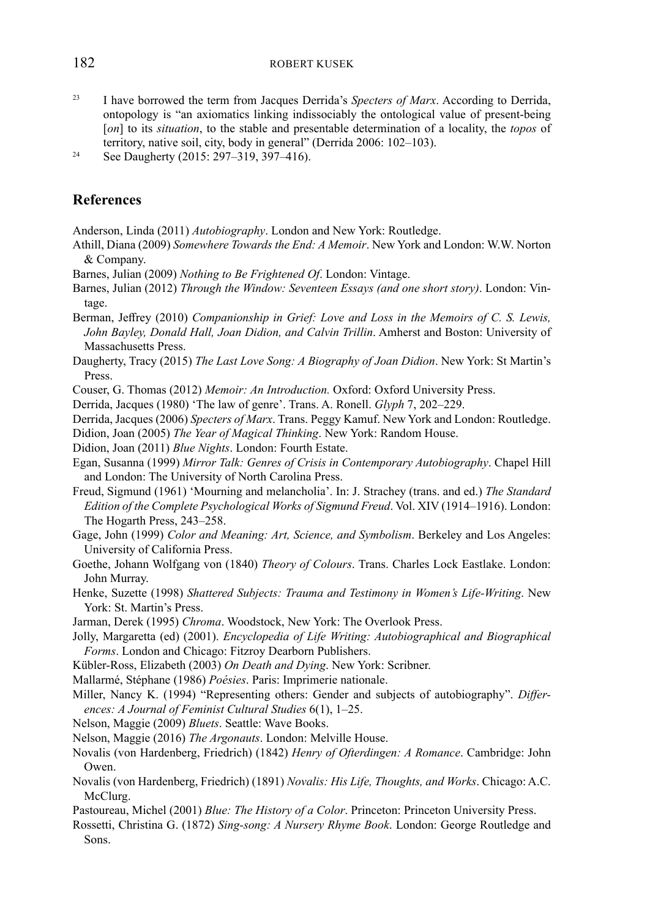#### 182 ROBERT KUSEK

23 I have borrowed the term from Jacques Derrida's *Specters of Marx*. According to Derrida, ontopology is "an axiomatics linking indissociably the ontological value of present-being [*on*] to its *situation*, to the stable and presentable determination of a locality, the *topos* of territory, native soil, city, body in general" (Derrida 2006: 102–103).

24 See Daugherty (2015: 297–319, 397–416).

# **References**

Anderson, Linda (2011) *Autobiography*. London and New York: Routledge.

- Athill, Diana (2009) *Somewhere Towards the End: A Memoir*. New York and London: W.W. Norton & Company.
- Barnes, Julian (2009) *Nothing to Be Frightened Of*. London: Vintage.
- Barnes, Julian (2012) *Through the Window: Seventeen Essays (and one short story)*. London: Vintage.
- Berman, Jeffrey (2010) *Companionship in Grief: Love and Loss in the Memoirs of C. S. Lewis, John Bayley, Donald Hall, Joan Didion, and Calvin Trillin*. Amherst and Boston: University of Massachusetts Press.
- Daugherty, Tracy (2015) *The Last Love Song: A Biography of Joan Didion*. New York: St Martin's Press.
- Couser, G. Thomas (2012) *Memoir: An Introduction.* Oxford: Oxford University Press.
- Derrida, Jacques (1980) 'The law of genre'. Trans. A. Ronell. *Glyph* 7, 202–229.
- Derrida, Jacques (2006) *Specters of Marx*. Trans. Peggy Kamuf. New York and London: Routledge.
- Didion, Joan (2005) *The Year of Magical Thinking*. New York: Random House.
- Didion, Joan (2011) *Blue Nights*. London: Fourth Estate.
- Egan, Susanna (1999) *Mirror Talk: Genres of Crisis in Contemporary Autobiography*. Chapel Hill and London: The University of North Carolina Press.
- Freud, Sigmund (1961) 'Mourning and melancholia'. In: J. Strachey (trans. and ed.) *The Standard Edition of the Complete Psychological Works of Sigmund Freud*. Vol. XIV (1914–1916). London: The Hogarth Press, 243–258.
- Gage, John (1999) *Color and Meaning: Art, Science, and Symbolism*. Berkeley and Los Angeles: University of California Press.
- Goethe, Johann Wolfgang von (1840) *Theory of Colours*. Trans. Charles Lock Eastlake. London: John Murray.
- Henke, Suzette (1998) *Shattered Subjects: Trauma and Testimony in Women's Life-Writing*. New York: St. Martin's Press.
- Jarman, Derek (1995) *Chroma*. Woodstock, New York: The Overlook Press.
- Jolly, Margaretta (ed) (2001). *Encyclopedia of Life Writing: Autobiographical and Biographical Forms*. London and Chicago: Fitzroy Dearborn Publishers.
- Kübler-Ross, Elizabeth (2003) *On Death and Dying*. New York: Scribner.
- Mallarmé, Stéphane (1986) *Poésies*. Paris: Imprimerie nationale.
- Miller, Nancy K. (1994) "Representing others: Gender and subjects of autobiography". *Differences: A Journal of Feminist Cultural Studies* 6(1), 1–25.
- Nelson, Maggie (2009) *Bluets*. Seattle: Wave Books.
- Nelson, Maggie (2016) *The Argonauts*. London: Melville House.
- Novalis (von Hardenberg, Friedrich) (1842) *Henry of Ofterdingen: A Romance*. Cambridge: John Owen.
- Novalis (von Hardenberg, Friedrich) (1891) *Novalis: His Life, Thoughts, and Works*. Chicago: A.C. McClurg.
- Pastoureau, Michel (2001) *Blue: The History of a Color*. Princeton: Princeton University Press.
- Rossetti, Christina G. (1872) *Sing-song: A Nursery Rhyme Book*. London: George Routledge and Sons.